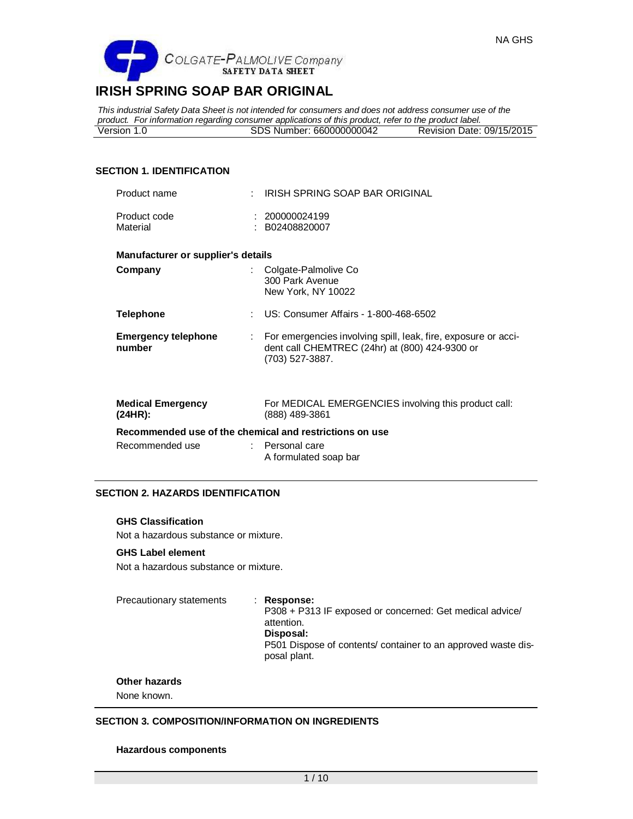

*This industrial Safety Data Sheet is not intended for consumers and does not address consumer use of the product. For information regarding consumer applications of this product, refer to the product label.* Version 1.0 SDS Number: 660000000042

# **SECTION 1. IDENTIFICATION**

| Product name                         |    | IRISH SPRING SOAP BAR ORIGINAL                                                                                                        |
|--------------------------------------|----|---------------------------------------------------------------------------------------------------------------------------------------|
| Product code<br>Material             |    | : 200000024199<br>: B02408820007                                                                                                      |
| Manufacturer or supplier's details   |    |                                                                                                                                       |
| Company                              |    | Colgate-Palmolive Co<br>300 Park Avenue<br>New York, NY 10022                                                                         |
| <b>Telephone</b>                     | ÷  | US: Consumer Affairs - 1-800-468-6502                                                                                                 |
| <b>Emergency telephone</b><br>number | ÷. | For emergencies involving spill, leak, fire, exposure or acci-<br>dent call CHEMTREC (24hr) at (800) 424-9300 or<br>$(703)$ 527-3887. |
| <b>Medical Emergency</b><br>(24HR):  |    | For MEDICAL EMERGENCIES involving this product call:<br>(888) 489-3861                                                                |
|                                      |    | Recommended use of the chemical and restrictions on use                                                                               |
| Recommended use                      |    | Personal care<br>A formulated soap bar                                                                                                |

# **SECTION 2. HAZARDS IDENTIFICATION**

#### **GHS Classification**

Not a hazardous substance or mixture.

# **GHS Label element**

Not a hazardous substance or mixture.

Precautionary statements : **Response:** 

P308 + P313 IF exposed or concerned: Get medical advice/ attention. **Disposal:**  P501 Dispose of contents/ container to an approved waste disposal plant.

#### **Other hazards**

None known.

# **SECTION 3. COMPOSITION/INFORMATION ON INGREDIENTS**

#### **Hazardous components**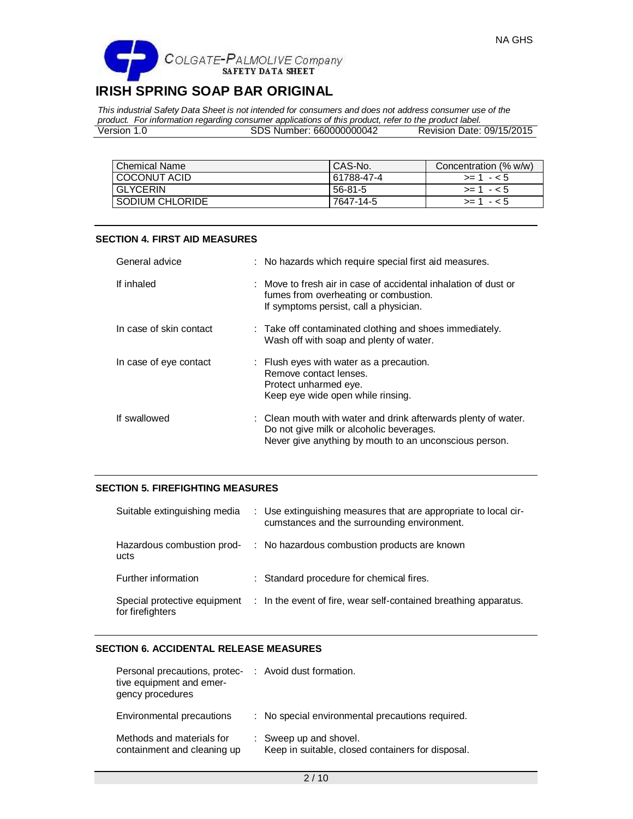*This industrial Safety Data Sheet is not intended for consumers and does not address consumer use of the product. For information regarding consumer applications of this product, refer to the product label.* Version 1.0 SDS Number: 660000000042 Revision Date: 09/15/2015

| Chemical Name   | CAS-No.    | Concentration (% w/w) |
|-----------------|------------|-----------------------|
| COCONUT ACID    | 61788-47-4 | $> = 1 - 5$           |
| <b>GLYCERIN</b> | 56-81-5    | $>= 1 - 5$            |
| SODIUM CHLORIDE | 7647-14-5  | $> = 1 - 5$           |

# **SECTION 4. FIRST AID MEASURES**

| General advice          | : No hazards which require special first aid measures.                                                                                                               |
|-------------------------|----------------------------------------------------------------------------------------------------------------------------------------------------------------------|
| If inhaled              | : Move to fresh air in case of accidental inhalation of dust or<br>fumes from overheating or combustion.<br>If symptoms persist, call a physician.                   |
| In case of skin contact | : Take off contaminated clothing and shoes immediately.<br>Wash off with soap and plenty of water.                                                                   |
| In case of eye contact  | : Flush eyes with water as a precaution.<br>Remove contact lenses.<br>Protect unharmed eye.<br>Keep eye wide open while rinsing.                                     |
| If swallowed            | : Clean mouth with water and drink afterwards plenty of water.<br>Do not give milk or alcoholic beverages.<br>Never give anything by mouth to an unconscious person. |

# **SECTION 5. FIREFIGHTING MEASURES**

| Suitable extinguishing media                     | : Use extinguishing measures that are appropriate to local cir-<br>cumstances and the surrounding environment. |
|--------------------------------------------------|----------------------------------------------------------------------------------------------------------------|
| Hazardous combustion prod-<br>ucts               | : No hazardous combustion products are known                                                                   |
| Further information                              | : Standard procedure for chemical fires.                                                                       |
| Special protective equipment<br>for firefighters | : In the event of fire, wear self-contained breathing apparatus.                                               |

# **SECTION 6. ACCIDENTAL RELEASE MEASURES**

| Personal precautions, protec- : Avoid dust formation.<br>tive equipment and emer-<br>gency procedures |                                                                             |
|-------------------------------------------------------------------------------------------------------|-----------------------------------------------------------------------------|
| Environmental precautions                                                                             | : No special environmental precautions required.                            |
| Methods and materials for<br>containment and cleaning up                                              | : Sweep up and shovel.<br>Keep in suitable, closed containers for disposal. |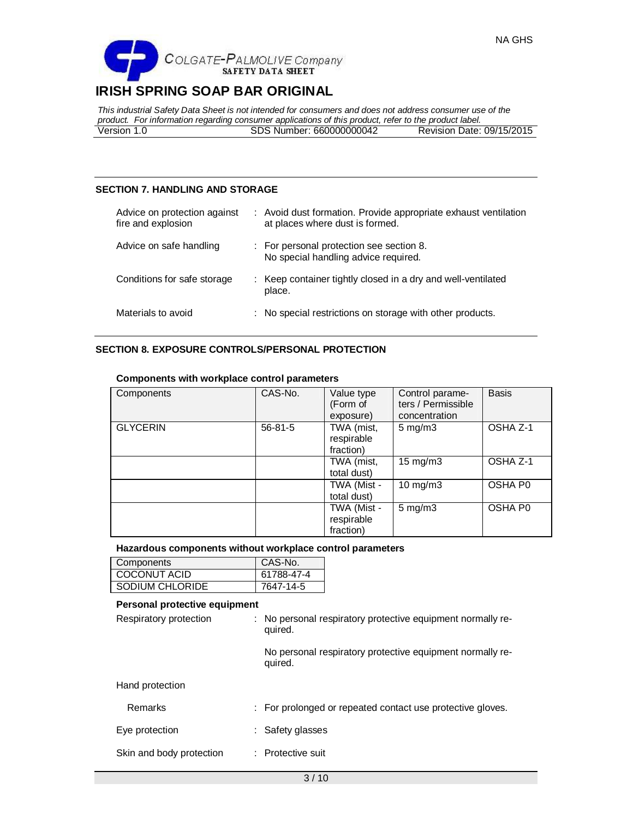

*This industrial Safety Data Sheet is not intended for consumers and does not address consumer use of the product. For information regarding consumer applications of this product, refer to the product label.* Version 1.0 SDS Number: 660000000042

# **SECTION 7. HANDLING AND STORAGE**

| Advice on protection against<br>fire and explosion | : Avoid dust formation. Provide appropriate exhaust ventilation<br>at places where dust is formed. |
|----------------------------------------------------|----------------------------------------------------------------------------------------------------|
| Advice on safe handling                            | : For personal protection see section 8.<br>No special handling advice required.                   |
| Conditions for safe storage                        | : Keep container tightly closed in a dry and well-ventilated<br>place.                             |
| Materials to avoid                                 | : No special restrictions on storage with other products.                                          |

# **SECTION 8. EXPOSURE CONTROLS/PERSONAL PROTECTION**

| Components      | CAS-No.       | Value type<br>(Form of<br>exposure)    | Control parame-<br>ters / Permissible<br>concentration | <b>Basis</b> |
|-----------------|---------------|----------------------------------------|--------------------------------------------------------|--------------|
| <b>GLYCERIN</b> | $56 - 81 - 5$ | TWA (mist,<br>respirable<br>fraction)  | $5 \text{ mg/m}$ 3                                     | OSHA Z-1     |
|                 |               | TWA (mist,<br>total dust)              | $15 \text{ mg/m}$                                      | OSHA Z-1     |
|                 |               | TWA (Mist -<br>total dust)             | 10 mg/m3                                               | OSHA P0      |
|                 |               | TWA (Mist -<br>respirable<br>fraction) | $5$ mg/m $3$                                           | OSHA P0      |

## **Components with workplace control parameters**

### **Hazardous components without workplace control parameters**

| Components      | CAS-No.    |
|-----------------|------------|
| COCONUT ACID    | 61788-47-4 |
| SODIUM CHLORIDE | 7647-14-5  |

# **Personal protective equipment**

| Respiratory protection   | : No personal respiratory protective equipment normally re-<br>quired. |
|--------------------------|------------------------------------------------------------------------|
|                          | No personal respiratory protective equipment normally re-<br>quired.   |
| Hand protection          |                                                                        |
| Remarks                  | : For prolonged or repeated contact use protective gloves.             |
| Eye protection           | : Safety glasses                                                       |
| Skin and body protection | : Protective suit                                                      |
|                          |                                                                        |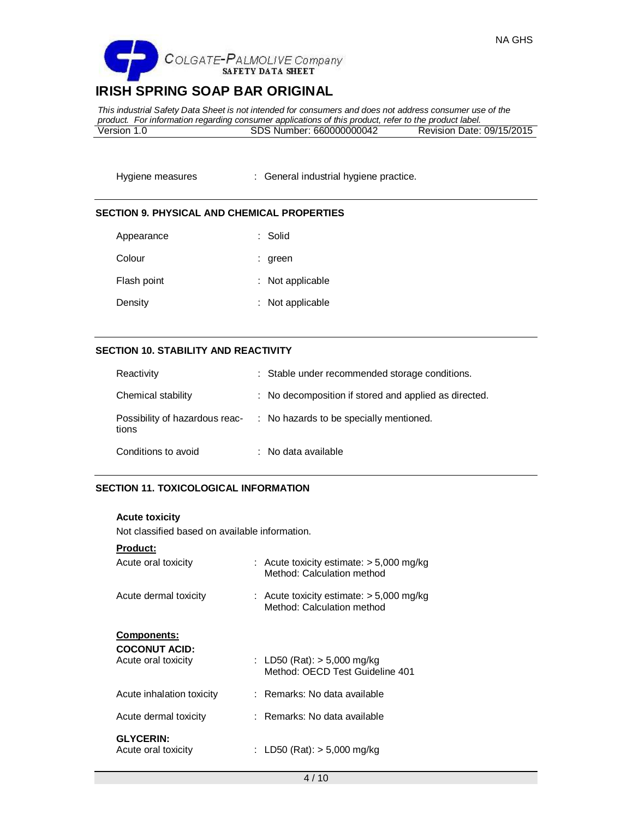

*This industrial Safety Data Sheet is not intended for consumers and does not address consumer use of the product. For information regarding consumer applications of this product, refer to the product label.* Version 1.0 SDS Number: 660000000042

Hygiene measures : General industrial hygiene practice.

### **SECTION 9. PHYSICAL AND CHEMICAL PROPERTIES**

| Appearance  | : Solid          |
|-------------|------------------|
| Colour      | : green          |
| Flash point | : Not applicable |
| Density     | : Not applicable |

## **SECTION 10. STABILITY AND REACTIVITY**

| Reactivity          | : Stable under recommended storage conditions.                         |
|---------------------|------------------------------------------------------------------------|
| Chemical stability  | : No decomposition if stored and applied as directed.                  |
| tions               | Possibility of hazardous reac- : No hazards to be specially mentioned. |
| Conditions to avoid | : No data available                                                    |

# **SECTION 11. TOXICOLOGICAL INFORMATION**

#### **Acute toxicity**

Not classified based on available information.

# **Product:**

| Acute oral toxicity                                               | : Acute toxicity estimate: $>$ 5,000 mg/kg<br>Method: Calculation method |
|-------------------------------------------------------------------|--------------------------------------------------------------------------|
| Acute dermal toxicity                                             | : Acute toxicity estimate: $>$ 5,000 mg/kg<br>Method: Calculation method |
| <b>Components:</b><br><b>COCONUT ACID:</b><br>Acute oral toxicity | : LD50 (Rat): $>$ 5,000 mg/kg<br>Method: OECD Test Guideline 401         |
| Acute inhalation toxicity                                         | : Remarks: No data available                                             |
| Acute dermal toxicity                                             | : Remarks: No data available                                             |
| <b>GLYCERIN:</b><br>Acute oral toxicity                           | : LD50 (Rat): $>$ 5,000 mg/kg                                            |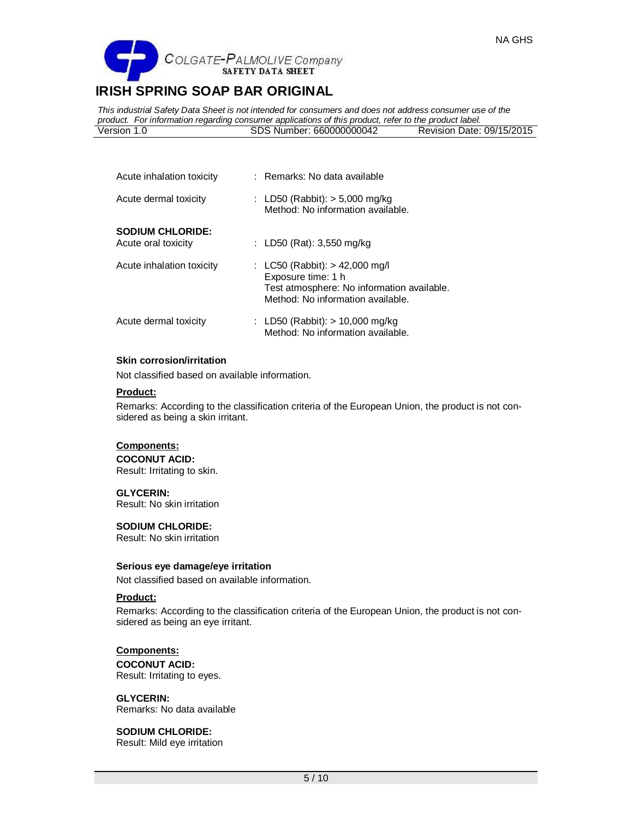

*This industrial Safety Data Sheet is not intended for consumers and does not address consumer use of the product. For information regarding consumer applications of this product, refer to the product label.* Version 1.0 SDS Number: 660000000042 Revision Date: 09/15/2015

| Acute inhalation toxicity                      | : Remarks: No data available                                                                                                            |
|------------------------------------------------|-----------------------------------------------------------------------------------------------------------------------------------------|
| Acute dermal toxicity                          | : LD50 (Rabbit): $>$ 5,000 mg/kg<br>Method: No information available.                                                                   |
| <b>SODIUM CHLORIDE:</b><br>Acute oral toxicity | : LD50 (Rat): $3,550$ mg/kg                                                                                                             |
| Acute inhalation toxicity                      | : LC50 (Rabbit): > 42,000 mg/l<br>Exposure time: 1 h<br>Test atmosphere: No information available.<br>Method: No information available. |
| Acute dermal toxicity                          | : LD50 (Rabbit): $> 10,000$ mg/kg<br>Method: No information available.                                                                  |

#### **Skin corrosion/irritation**

Not classified based on available information.

#### **Product:**

Remarks: According to the classification criteria of the European Union, the product is not considered as being a skin irritant.

# **Components:**

**COCONUT ACID:** Result: Irritating to skin.

#### **GLYCERIN:**

Result: No skin irritation

#### **SODIUM CHLORIDE:**

Result: No skin irritation

#### **Serious eye damage/eye irritation**

Not classified based on available information.

# **Product:**

Remarks: According to the classification criteria of the European Union, the product is not considered as being an eye irritant.

# **Components: COCONUT ACID:** Result: Irritating to eyes.

**GLYCERIN:** Remarks: No data available

### **SODIUM CHLORIDE:** Result: Mild eye irritation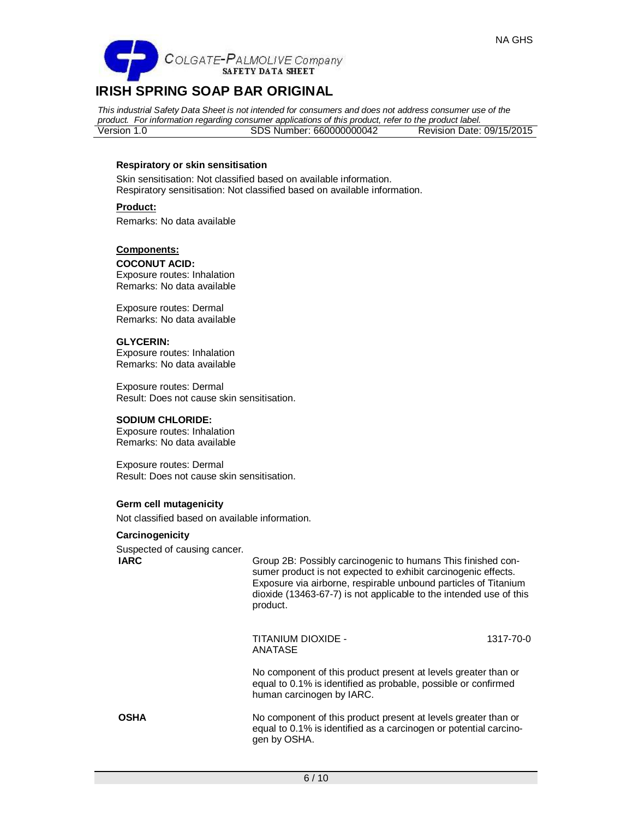

*This industrial Safety Data Sheet is not intended for consumers and does not address consumer use of the product. For information regarding consumer applications of this product, refer to the product label.* Version 1.0 SDS Number: 660000000042 Revision Date: 09/15/2015

# **Respiratory or skin sensitisation**

Skin sensitisation: Not classified based on available information. Respiratory sensitisation: Not classified based on available information.

**Product:** Remarks: No data available

### **Components:**

**COCONUT ACID:** Exposure routes: Inhalation Remarks: No data available

Exposure routes: Dermal Remarks: No data available

# **GLYCERIN:**

Exposure routes: Inhalation Remarks: No data available

Exposure routes: Dermal Result: Does not cause skin sensitisation.

#### **SODIUM CHLORIDE:**

Exposure routes: Inhalation Remarks: No data available

Exposure routes: Dermal Result: Does not cause skin sensitisation.

#### **Germ cell mutagenicity**

Not classified based on available information.

#### **Carcinogenicity**

Suspected of causing cancer.

**IARC** Group 2B: Possibly carcinogenic to humans This finished consumer product is not expected to exhibit carcinogenic effects. Exposure via airborne, respirable unbound particles of Titanium dioxide (13463-67-7) is not applicable to the intended use of this product.

> TITANIUM DIOXIDE - ANATASE 1317-70-0

No component of this product present at levels greater than or equal to 0.1% is identified as probable, possible or confirmed human carcinogen by IARC.

**OSHA** No component of this product present at levels greater than or equal to 0.1% is identified as a carcinogen or potential carcinogen by OSHA.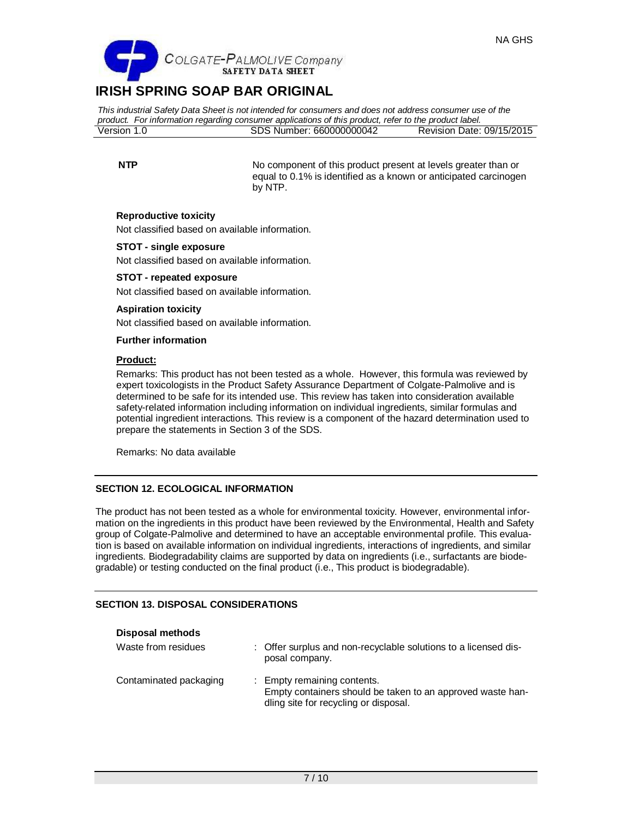

*This industrial Safety Data Sheet is not intended for consumers and does not address consumer use of the product. For information regarding consumer applications of this product, refer to the product label.* Version 1.0 SDS Number: 660000000042 Revision Date: 09/15/2015

**NTP** No component of this product present at levels greater than or equal to 0.1% is identified as a known or anticipated carcinogen by NTP.

# **Reproductive toxicity**

Not classified based on available information.

# **STOT - single exposure**

Not classified based on available information.

### **STOT - repeated exposure**

Not classified based on available information.

# **Aspiration toxicity**

Not classified based on available information.

#### **Further information**

## **Product:**

Remarks: This product has not been tested as a whole. However, this formula was reviewed by expert toxicologists in the Product Safety Assurance Department of Colgate-Palmolive and is determined to be safe for its intended use. This review has taken into consideration available safety-related information including information on individual ingredients, similar formulas and potential ingredient interactions. This review is a component of the hazard determination used to prepare the statements in Section 3 of the SDS.

Remarks: No data available

# **SECTION 12. ECOLOGICAL INFORMATION**

The product has not been tested as a whole for environmental toxicity. However, environmental information on the ingredients in this product have been reviewed by the Environmental, Health and Safety group of Colgate-Palmolive and determined to have an acceptable environmental profile. This evaluation is based on available information on individual ingredients, interactions of ingredients, and similar ingredients. Biodegradability claims are supported by data on ingredients (i.e., surfactants are biodegradable) or testing conducted on the final product (i.e., This product is biodegradable).

# **SECTION 13. DISPOSAL CONSIDERATIONS**

#### **Disposal methods**

| Waste from residues    | : Offer surplus and non-recyclable solutions to a licensed dis-<br>posal company.                                                  |
|------------------------|------------------------------------------------------------------------------------------------------------------------------------|
| Contaminated packaging | : Empty remaining contents.<br>Empty containers should be taken to an approved waste han-<br>dling site for recycling or disposal. |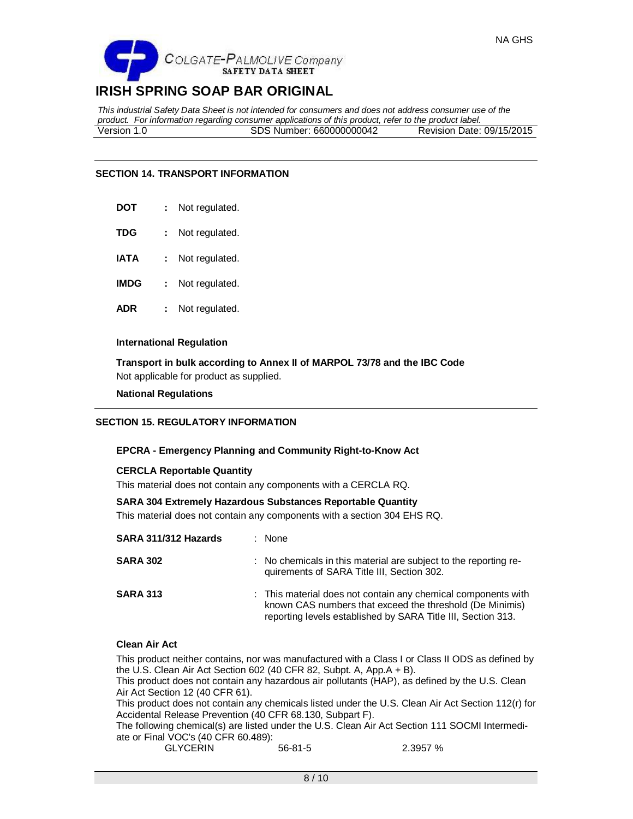

*This industrial Safety Data Sheet is not intended for consumers and does not address consumer use of the product. For information regarding consumer applications of this product, refer to the product label.* Version 1.0 SDS Number: 660000000042 Revision Date: 09/15/2015

# **SECTION 14. TRANSPORT INFORMATION**

| DOT | Not regulated. |
|-----|----------------|
|     |                |

- **TDG :** Not regulated.
- **IATA :** Not regulated.
- **IMDG :** Not regulated.
- **ADR :** Not regulated.

#### **International Regulation**

**Transport in bulk according to Annex II of MARPOL 73/78 and the IBC Code** Not applicable for product as supplied.

**National Regulations**

# **SECTION 15. REGULATORY INFORMATION**

#### **EPCRA - Emergency Planning and Community Right-to-Know Act**

#### **CERCLA Reportable Quantity**

This material does not contain any components with a CERCLA RQ.

#### **SARA 304 Extremely Hazardous Substances Reportable Quantity**

This material does not contain any components with a section 304 EHS RQ.

| SARA 311/312 Hazards | : None                                                                                                                                                                                    |
|----------------------|-------------------------------------------------------------------------------------------------------------------------------------------------------------------------------------------|
| <b>SARA 302</b>      | : No chemicals in this material are subject to the reporting re-<br>quirements of SARA Title III, Section 302.                                                                            |
| <b>SARA 313</b>      | : This material does not contain any chemical components with<br>known CAS numbers that exceed the threshold (De Minimis)<br>reporting levels established by SARA Title III, Section 313. |

### **Clean Air Act**

This product neither contains, nor was manufactured with a Class I or Class II ODS as defined by the U.S. Clean Air Act Section 602 (40 CFR 82, Subpt. A, App.A + B). This product does not contain any hazardous air pollutants (HAP), as defined by the U.S. Clean Air Act Section 12 (40 CFR 61). This product does not contain any chemicals listed under the U.S. Clean Air Act Section 112(r) for Accidental Release Prevention (40 CFR 68.130, Subpart F). The following chemical(s) are listed under the U.S. Clean Air Act Section 111 SOCMI Intermediate or Final VOC's (40 CFR 60.489): GLYCERIN 56-81-5 2.3957 %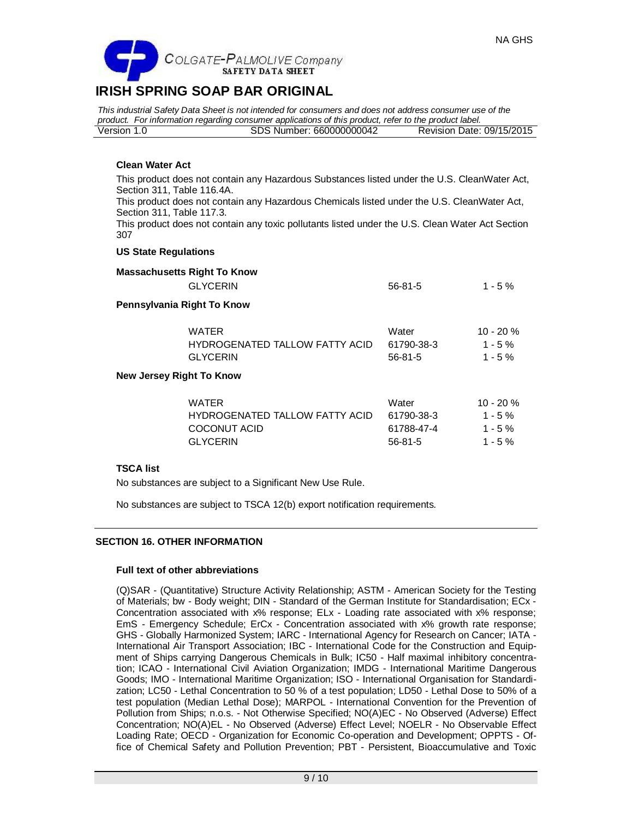

*This industrial Safety Data Sheet is not intended for consumers and does not address consumer use of the product. For information regarding consumer applications of this product, refer to the product label.* Version 1.0 SDS Number: 660000000042 Revision Date: 09/15/2015

# **Clean Water Act**

This product does not contain any Hazardous Substances listed under the U.S. CleanWater Act, Section 311, Table 116.4A.

This product does not contain any Hazardous Chemicals listed under the U.S. CleanWater Act, Section 311, Table 117.3.

This product does not contain any toxic pollutants listed under the U.S. Clean Water Act Section 307

### **US State Regulations**

| <b>Massachusetts Right To Know</b>                                                       |                                                    |                                                      |
|------------------------------------------------------------------------------------------|----------------------------------------------------|------------------------------------------------------|
| <b>GLYCERIN</b>                                                                          | $56 - 81 - 5$                                      | $1 - 5 \%$                                           |
| Pennsylvania Right To Know                                                               |                                                    |                                                      |
| <b>WATER</b><br><b>HYDROGENATED TALLOW FATTY ACID</b><br><b>GLYCERIN</b>                 | Water<br>61790-38-3<br>$56 - 81 - 5$               | $10 - 20%$<br>$1 - 5 \%$<br>$1 - 5 \%$               |
| <b>New Jersey Right To Know</b>                                                          |                                                    |                                                      |
| <b>WATER</b><br><b>HYDROGENATED TALLOW FATTY ACID</b><br>COCONUT ACID<br><b>GLYCERIN</b> | Water<br>61790-38-3<br>61788-47-4<br>$56 - 81 - 5$ | $10 - 20%$<br>$1 - 5 \%$<br>$1 - 5 \%$<br>$1 - 5 \%$ |

#### **TSCA list**

No substances are subject to a Significant New Use Rule.

No substances are subject to TSCA 12(b) export notification requirements.

# **SECTION 16. OTHER INFORMATION**

#### **Full text of other abbreviations**

(Q)SAR - (Quantitative) Structure Activity Relationship; ASTM - American Society for the Testing of Materials; bw - Body weight; DIN - Standard of the German Institute for Standardisation; ECx - Concentration associated with x% response; ELx - Loading rate associated with x% response; EmS - Emergency Schedule; ErCx - Concentration associated with x% growth rate response; GHS - Globally Harmonized System; IARC - International Agency for Research on Cancer; IATA - International Air Transport Association; IBC - International Code for the Construction and Equipment of Ships carrying Dangerous Chemicals in Bulk; IC50 - Half maximal inhibitory concentration; ICAO - International Civil Aviation Organization; IMDG - International Maritime Dangerous Goods; IMO - International Maritime Organization; ISO - International Organisation for Standardization; LC50 - Lethal Concentration to 50 % of a test population; LD50 - Lethal Dose to 50% of a test population (Median Lethal Dose); MARPOL - International Convention for the Prevention of Pollution from Ships; n.o.s. - Not Otherwise Specified; NO(A)EC - No Observed (Adverse) Effect Concentration; NO(A)EL - No Observed (Adverse) Effect Level; NOELR - No Observable Effect Loading Rate; OECD - Organization for Economic Co-operation and Development; OPPTS - Office of Chemical Safety and Pollution Prevention; PBT - Persistent, Bioaccumulative and Toxic